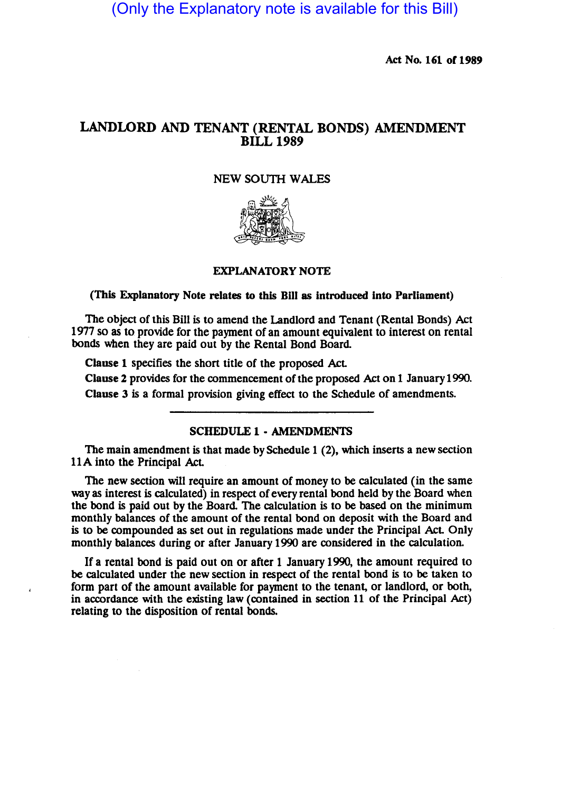(Only the Explanatory note is available for this Bill)

Act No. 161 of 1989

# LANDLORD AND TENANT (RENTAL BONDS) AMENDMENT BILL 1989

# NEW SOUTH WALES



### EXPLANATORY NOTE

#### (This Explanatory Note relates to this Bill as introduced into Parliament)

The object of this Bill is to amend the Landlord and Tenant (Rental Bonds) Act 1977 so as to provide for the payment of an amount equivalent to interest on rental bonds when they are paid out by the Rental Bond Board

Clause 1 specifies the short title of the proposed Act

Clause 2 provides for the commencement of the proposed Act on 1 January 1990. Clause 3 is a formal provision giving effect to the Schedule of amendments.

### SCHEDULE 1 • AMENDMENTS

The main amendment is that made by Schedule 1 (2), which inserts a new section 11A into the Principal Act.

The new section will require an amount of money to be calculated (in the same way as interest is calculated) in respect of every rental bond held by the Board when the bond is paid out by the Board. The calculation is to be based on the minimum monthly balances of the amount of the rental bond on deposit with the Board and is to be compounded as set out in regulations made under the Principal Act Only monthly balances during or after January 1990 are considered in the calculation.

If a rental bond is paid out on or after 1 January 1990, the amount required to be calculated under the new section in respect of the rental bond is to be taken to form part of the amount available for payment to the tenant, or landlord, or both, in accordance with the existing law (contained in section 11 of the Principal Act) relating to the disposition of rental bonds.